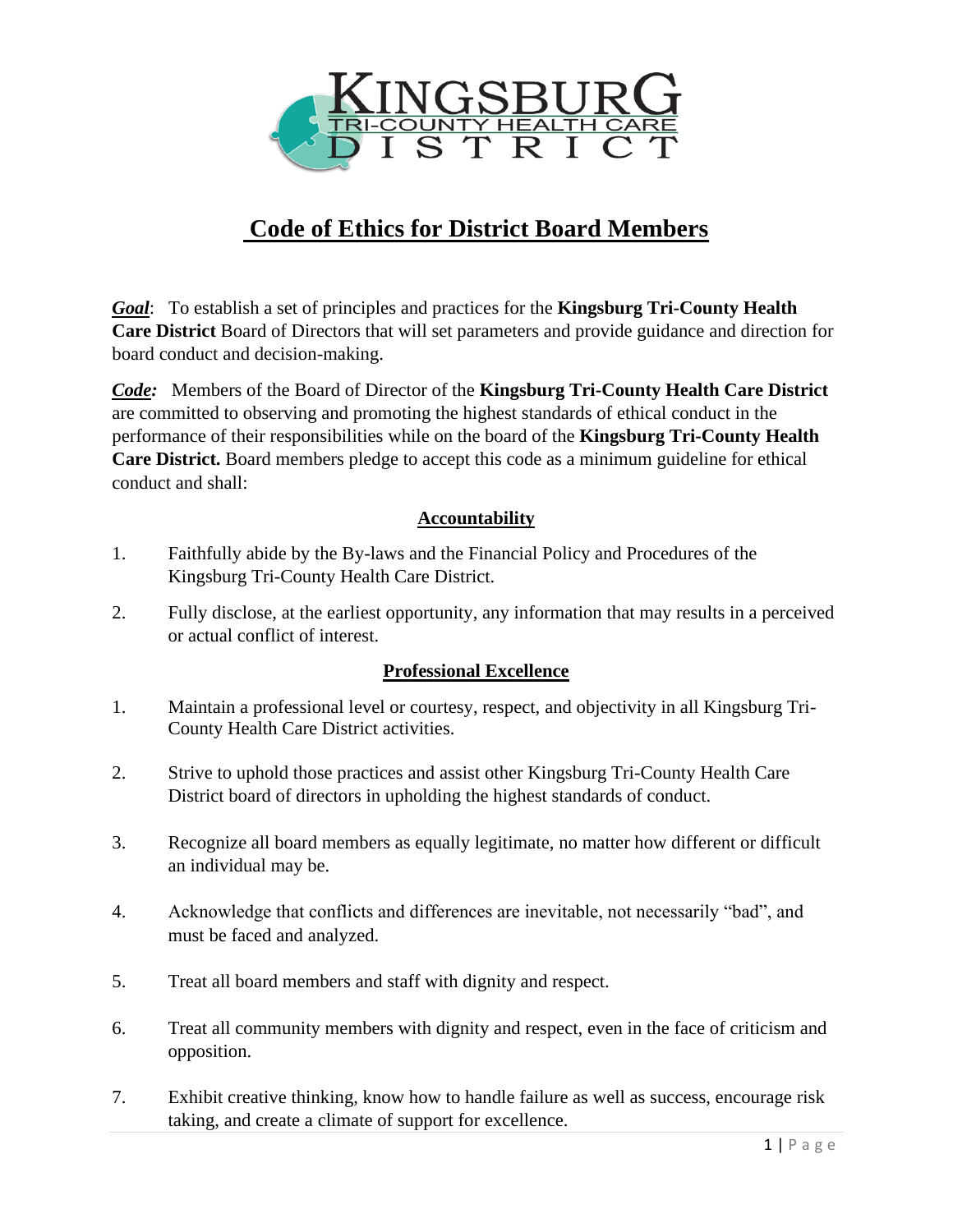

## **Code of Ethics for District Board Members**

*Goal*: To establish a set of principles and practices for the **Kingsburg Tri-County Health Care District** Board of Directors that will set parameters and provide guidance and direction for board conduct and decision-making.

*Code:* Members of the Board of Director of the **Kingsburg Tri-County Health Care District** are committed to observing and promoting the highest standards of ethical conduct in the performance of their responsibilities while on the board of the **Kingsburg Tri-County Health Care District.** Board members pledge to accept this code as a minimum guideline for ethical conduct and shall:

## **Accountability**

- 1. Faithfully abide by the By-laws and the Financial Policy and Procedures of the Kingsburg Tri-County Health Care District.
- 2. Fully disclose, at the earliest opportunity, any information that may results in a perceived or actual conflict of interest.

## **Professional Excellence**

- 1. Maintain a professional level or courtesy, respect, and objectivity in all Kingsburg Tri-County Health Care District activities.
- 2. Strive to uphold those practices and assist other Kingsburg Tri-County Health Care District board of directors in upholding the highest standards of conduct.
- 3. Recognize all board members as equally legitimate, no matter how different or difficult an individual may be.
- 4. Acknowledge that conflicts and differences are inevitable, not necessarily "bad", and must be faced and analyzed.
- 5. Treat all board members and staff with dignity and respect.
- 6. Treat all community members with dignity and respect, even in the face of criticism and opposition.
- 7. Exhibit creative thinking, know how to handle failure as well as success, encourage risk taking, and create a climate of support for excellence.